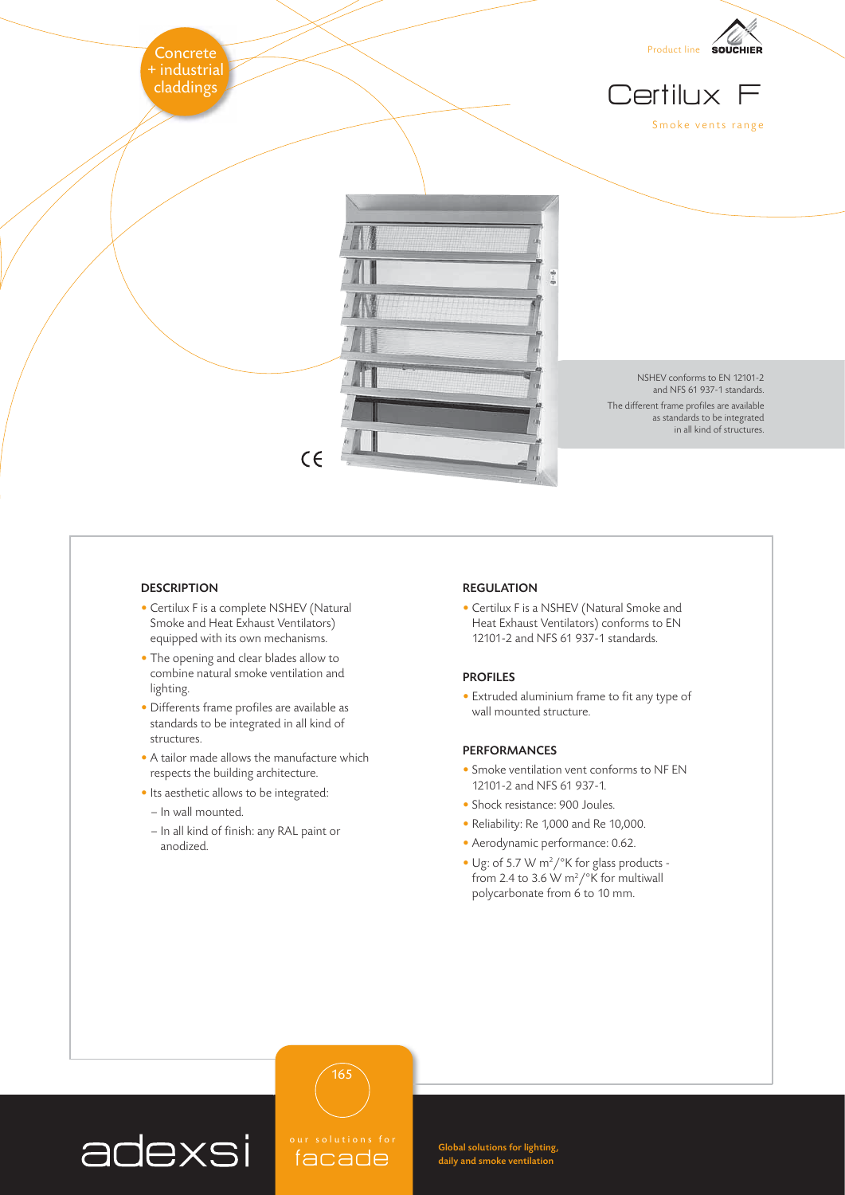

## **DESCRIPTION**

- Certilux F is a complete NSHEV (Natural Smoke and Heat Exhaust Ventilators) equipped with its own mechanisms.
- The opening and clear blades allow to combine natural smoke ventilation and lighting.
- Differents frame profiles are available as standards to be integrated in all kind of structures.
- A tailor made allows the manufacture which respects the building architecture.
- Its aesthetic allows to be integrated:
- In wall mounted.

adexsi

- In all kind of finish: any RAL paint or anodized.

facade

165

## REGULATION

• Certilux F is a NSHEV (Natural Smoke and Heat Exhaust Ventilators) conforms to EN 12101-2 and NFS 61 937-1 standards.

## PROFILES

• Extruded aluminium frame to fit any type of wall mounted structure.

## PERFORMANCES

Global solutions for lighting, daily and smoke ventilation

- Smoke ventilation vent conforms to NF EN 12101-2 and NFS 61 937-1.
- Shock resistance: 900 Joules.
- Reliability: Re 1,000 and Re 10,000.
- Aerodynamic performance: 0.62.
- Ug: of 5.7 W m<sup>2</sup>/<sup>o</sup>K for glass products from 2.4 to 3.6 W m<sup>2</sup>/ $\degree$ K for multiwall polycarbonate from 6 to 10 mm.